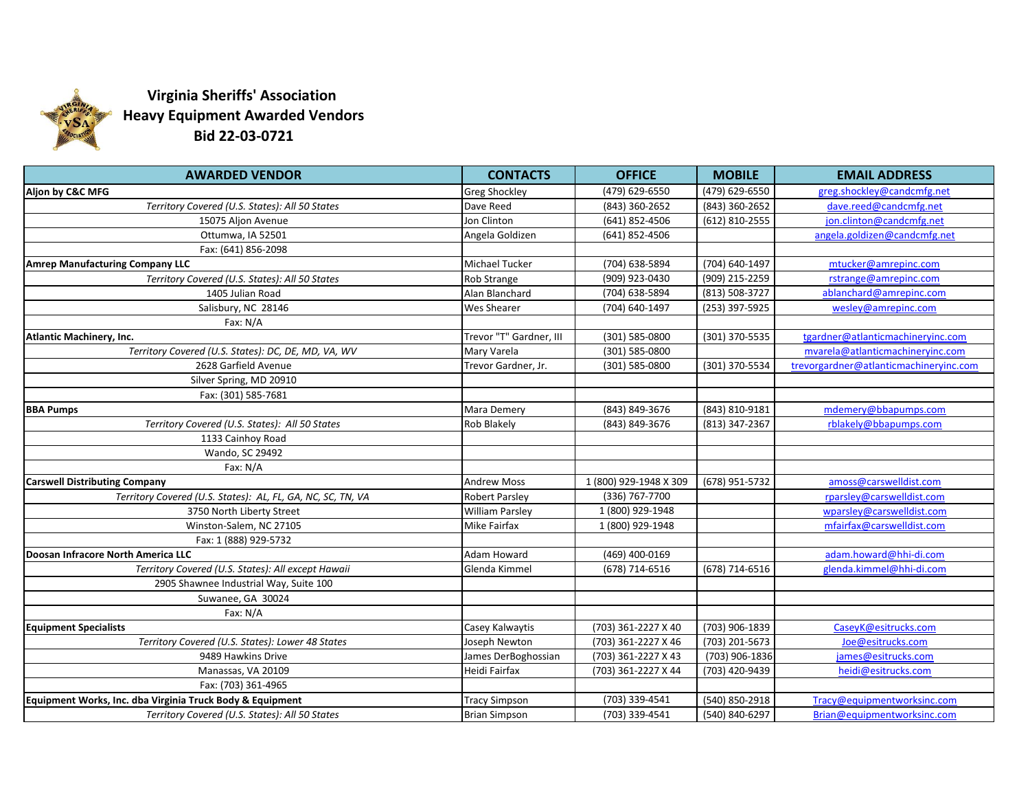

## **Virginia Sheriffs' Association Heavy Equipment Awarded Vendors Bid 22-03-0721**

| <b>AWARDED VENDOR</b>                                       | <b>CONTACTS</b>         | <b>OFFICE</b>          | <b>MOBILE</b>  | <b>EMAIL ADDRESS</b>                   |
|-------------------------------------------------------------|-------------------------|------------------------|----------------|----------------------------------------|
| Aljon by C&C MFG                                            | <b>Greg Shockley</b>    | (479) 629-6550         | (479) 629-6550 | greg.shockley@candcmfg.net             |
| Territory Covered (U.S. States): All 50 States              | Dave Reed               | (843) 360-2652         | (843) 360-2652 | dave.reed@candcmfg.net                 |
| 15075 Aljon Avenue                                          | Jon Clinton             | (641) 852-4506         | (612) 810-2555 | jon.clinton@candcmfg.net               |
| Ottumwa, IA 52501                                           | Angela Goldizen         | (641) 852-4506         |                | angela.goldizen@candcmfg.net           |
| Fax: (641) 856-2098                                         |                         |                        |                |                                        |
| <b>Amrep Manufacturing Company LLC</b>                      | <b>Michael Tucker</b>   | (704) 638-5894         | (704) 640-1497 | mtucker@amrepinc.com                   |
| Territory Covered (U.S. States): All 50 States              | Rob Strange             | (909) 923-0430         | (909) 215-2259 | rstrange@amrepinc.com                  |
| 1405 Julian Road                                            | Alan Blanchard          | (704) 638-5894         | (813) 508-3727 | ablanchard@amrepinc.com                |
| Salisbury, NC 28146                                         | <b>Wes Shearer</b>      | (704) 640-1497         | (253) 397-5925 | wesley@amrepinc.com                    |
| Fax: N/A                                                    |                         |                        |                |                                        |
| <b>Atlantic Machinery, Inc.</b>                             | Trevor "T" Gardner, III | (301) 585-0800         | (301) 370-5535 | tgardner@atlanticmachineryinc.com      |
| Territory Covered (U.S. States): DC, DE, MD, VA, WV         | Mary Varela             | (301) 585-0800         |                | mvarela@atlanticmachineryinc.com       |
| 2628 Garfield Avenue                                        | Trevor Gardner, Jr.     | (301) 585-0800         | (301) 370-5534 | trevorgardner@atlanticmachineryinc.com |
| Silver Spring, MD 20910                                     |                         |                        |                |                                        |
| Fax: (301) 585-7681                                         |                         |                        |                |                                        |
| <b>BBA Pumps</b>                                            | <b>Mara Demery</b>      | (843) 849-3676         | (843) 810-9181 | mdemery@bbapumps.com                   |
| Territory Covered (U.S. States): All 50 States              | <b>Rob Blakely</b>      | (843) 849-3676         | (813) 347-2367 | rblakely@bbapumps.com                  |
| 1133 Cainhoy Road                                           |                         |                        |                |                                        |
| Wando, SC 29492                                             |                         |                        |                |                                        |
| Fax: N/A                                                    |                         |                        |                |                                        |
| <b>Carswell Distributing Company</b>                        | <b>Andrew Moss</b>      | 1 (800) 929-1948 X 309 | (678) 951-5732 | amoss@carswelldist.com                 |
| Territory Covered (U.S. States): AL, FL, GA, NC, SC, TN, VA | <b>Robert Parsley</b>   | (336) 767-7700         |                | rparsley@carswelldist.com              |
| 3750 North Liberty Street                                   | <b>William Parsley</b>  | 1 (800) 929-1948       |                | wparsley@carswelldist.com              |
| Winston-Salem, NC 27105                                     | Mike Fairfax            | 1 (800) 929-1948       |                | mfairfax@carswelldist.com              |
| Fax: 1 (888) 929-5732                                       |                         |                        |                |                                        |
| Doosan Infracore North America LLC                          | Adam Howard             | (469) 400-0169         |                | adam.howard@hhi-di.com                 |
| Territory Covered (U.S. States): All except Hawaii          | Glenda Kimmel           | (678) 714-6516         | (678) 714-6516 | glenda.kimmel@hhi-di.com               |
| 2905 Shawnee Industrial Way, Suite 100                      |                         |                        |                |                                        |
| Suwanee, GA 30024                                           |                         |                        |                |                                        |
| Fax: N/A                                                    |                         |                        |                |                                        |
| <b>Equipment Specialists</b>                                | Casey Kalwaytis         | (703) 361-2227 X 40    | (703) 906-1839 | CaseyK@esitrucks.com                   |
| Territory Covered (U.S. States): Lower 48 States            | Joseph Newton           | (703) 361-2227 X 46    | (703) 201-5673 | Joe@esitrucks.com                      |
| 9489 Hawkins Drive                                          | James DerBoghossian     | (703) 361-2227 X 43    | (703) 906-1836 | james@esitrucks.com                    |
| Manassas, VA 20109                                          | Heidi Fairfax           | (703) 361-2227 X 44    | (703) 420-9439 | heidi@esitrucks.com                    |
| Fax: (703) 361-4965                                         |                         |                        |                |                                        |
| Equipment Works, Inc. dba Virginia Truck Body & Equipment   | <b>Tracy Simpson</b>    | (703) 339-4541         | (540) 850-2918 | Tracy@equipmentworksinc.com            |
| Territory Covered (U.S. States): All 50 States              | <b>Brian Simpson</b>    | (703) 339-4541         | (540) 840-6297 | Brian@equipmentworksinc.com            |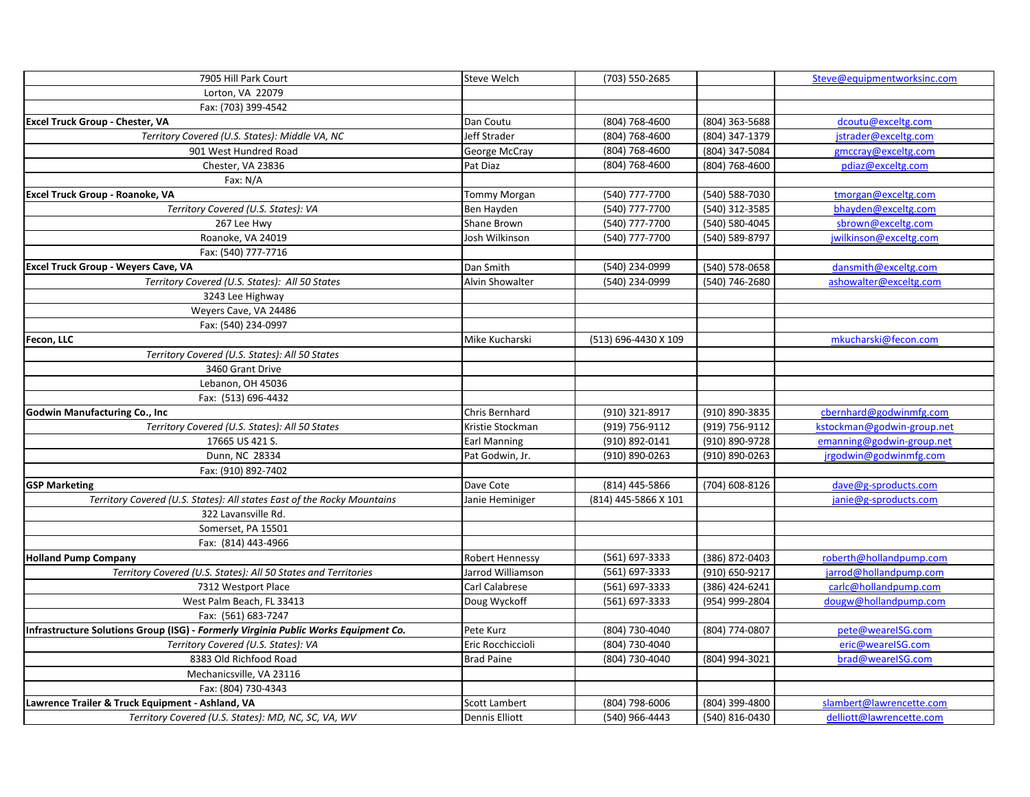| 7905 Hill Park Court                                                                | <b>Steve Welch</b>     | (703) 550-2685       |                | Steve@equipmentworksinc.com |
|-------------------------------------------------------------------------------------|------------------------|----------------------|----------------|-----------------------------|
| Lorton, VA 22079                                                                    |                        |                      |                |                             |
| Fax: (703) 399-4542                                                                 |                        |                      |                |                             |
| Excel Truck Group - Chester, VA                                                     | Dan Coutu              | (804) 768-4600       | (804) 363-5688 | dcoutu@exceltg.com          |
| Territory Covered (U.S. States): Middle VA, NC                                      | Jeff Strader           | $(804) 768 - 4600$   | (804) 347-1379 | jstrader@exceltg.com        |
| 901 West Hundred Road                                                               | George McCray          | (804) 768-4600       | (804) 347-5084 | gmccray@exceltg.com         |
| Chester, VA 23836                                                                   | Pat Diaz               | (804) 768-4600       | (804) 768-4600 | pdiaz@exceltg.com           |
| Fax: N/A                                                                            |                        |                      |                |                             |
| Excel Truck Group - Roanoke, VA                                                     | <b>Tommy Morgan</b>    | (540) 777-7700       | (540) 588-7030 | tmorgan@exceltg.com         |
| Territory Covered (U.S. States): VA                                                 | Ben Hayden             | (540) 777-7700       | (540) 312-3585 | bhayden@exceltg.com         |
| 267 Lee Hwy                                                                         | Shane Brown            | (540) 777-7700       | (540) 580-4045 | sbrown@exceltg.com          |
| Roanoke, VA 24019                                                                   | Josh Wilkinson         | (540) 777-7700       | (540) 589-8797 | jwilkinson@exceltg.com      |
| Fax: (540) 777-7716                                                                 |                        |                      |                |                             |
| <b>Excel Truck Group - Weyers Cave, VA</b>                                          | Dan Smith              | (540) 234-0999       | (540) 578-0658 | dansmith@exceltg.com        |
| Territory Covered (U.S. States): All 50 States                                      | Alvin Showalter        | (540) 234-0999       | (540) 746-2680 | ashowalter@exceltg.com      |
| 3243 Lee Highway                                                                    |                        |                      |                |                             |
| Weyers Cave, VA 24486                                                               |                        |                      |                |                             |
| Fax: (540) 234-0997                                                                 |                        |                      |                |                             |
| Fecon, LLC                                                                          | Mike Kucharski         | (513) 696-4430 X 109 |                | mkucharski@fecon.com        |
| Territory Covered (U.S. States): All 50 States                                      |                        |                      |                |                             |
| 3460 Grant Drive                                                                    |                        |                      |                |                             |
| Lebanon, OH 45036                                                                   |                        |                      |                |                             |
| Fax: (513) 696-4432                                                                 |                        |                      |                |                             |
| <b>Godwin Manufacturing Co., Inc.</b>                                               | Chris Bernhard         | (910) 321-8917       | (910) 890-3835 | cbernhard@godwinmfg.com     |
| Territory Covered (U.S. States): All 50 States                                      | Kristie Stockman       | (919) 756-9112       | (919) 756-9112 | kstockman@godwin-group.net  |
| 17665 US 421 S.                                                                     | <b>Earl Manning</b>    | (910) 892-0141       | (910) 890-9728 | emanning@godwin-group.net   |
| Dunn, NC 28334                                                                      | Pat Godwin, Jr.        | (910) 890-0263       | (910) 890-0263 | jrgodwin@godwinmfg.com      |
| Fax: (910) 892-7402                                                                 |                        |                      |                |                             |
| <b>GSP Marketing</b>                                                                | Dave Cote              | (814) 445-5866       | (704) 608-8126 | dave@g-sproducts.com        |
| Territory Covered (U.S. States): All states East of the Rocky Mountains             | Janie Heminiger        | (814) 445-5866 X 101 |                | janie@g-sproducts.com       |
| 322 Lavansville Rd.                                                                 |                        |                      |                |                             |
| Somerset, PA 15501                                                                  |                        |                      |                |                             |
| Fax: (814) 443-4966                                                                 |                        |                      |                |                             |
| <b>Holland Pump Company</b>                                                         | <b>Robert Hennessy</b> | (561) 697-3333       | (386) 872-0403 | roberth@hollandpump.com     |
| Territory Covered (U.S. States): All 50 States and Territories                      | Jarrod Williamson      | (561) 697-3333       | (910) 650-9217 | jarrod@hollandpump.com      |
| 7312 Westport Place                                                                 | Carl Calabrese         | (561) 697-3333       | (386) 424-6241 | carlc@hollandpump.com       |
| West Palm Beach, FL 33413                                                           | Doug Wyckoff           | (561) 697-3333       | (954) 999-2804 | dougw@hollandpump.com       |
| Fax: (561) 683-7247                                                                 |                        |                      |                |                             |
| Infrastructure Solutions Group (ISG) - Formerly Virginia Public Works Equipment Co. | Pete Kurz              | (804) 730-4040       | (804) 774-0807 | pete@weareISG.com           |
| Territory Covered (U.S. States): VA                                                 | Eric Rocchiccioli      | (804) 730-4040       |                | eric@weareISG.com           |
| 8383 Old Richfood Road                                                              | <b>Brad Paine</b>      | (804) 730-4040       | (804) 994-3021 | brad@weareISG.com           |
| Mechanicsville, VA 23116                                                            |                        |                      |                |                             |
| Fax: (804) 730-4343                                                                 |                        |                      |                |                             |
| Lawrence Trailer & Truck Equipment - Ashland, VA                                    | Scott Lambert          | (804) 798-6006       | (804) 399-4800 | slambert@lawrencette.com    |
| Territory Covered (U.S. States): MD, NC, SC, VA, WV                                 | <b>Dennis Elliott</b>  | (540) 966-4443       | (540) 816-0430 | delliott@lawrencette.com    |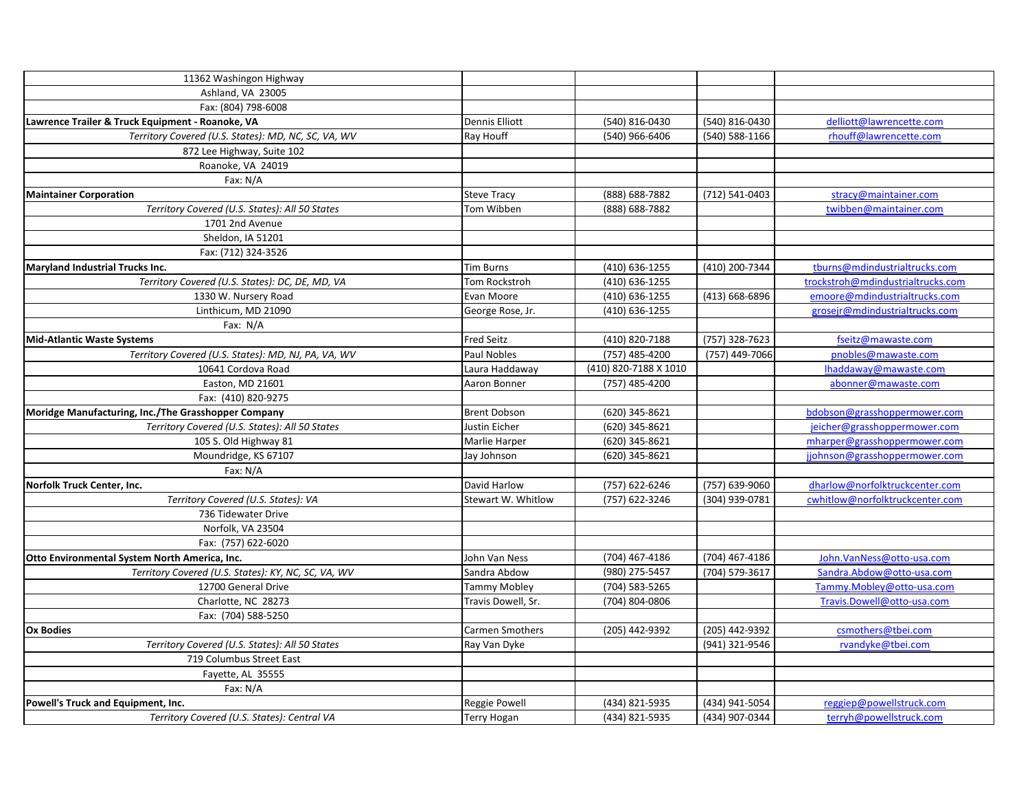| 11362 Washingon Highway                             |                       |                       |                |                                   |
|-----------------------------------------------------|-----------------------|-----------------------|----------------|-----------------------------------|
| Ashland, VA 23005                                   |                       |                       |                |                                   |
| Fax: (804) 798-6008                                 |                       |                       |                |                                   |
| Lawrence Trailer & Truck Equipment - Roanoke, VA    | <b>Dennis Elliott</b> | (540) 816-0430        | (540) 816-0430 | delliott@lawrencette.com          |
| Territory Covered (U.S. States): MD, NC, SC, VA, WV | Ray Houff             | (540) 966-6406        | (540) 588-1166 | rhouff@lawrencette.com            |
| 872 Lee Highway, Suite 102                          |                       |                       |                |                                   |
| Roanoke, VA 24019                                   |                       |                       |                |                                   |
| Fax: N/A                                            |                       |                       |                |                                   |
| <b>Maintainer Corporation</b>                       | <b>Steve Tracy</b>    | (888) 688-7882        | (712) 541-0403 | stracy@maintainer.com             |
| Territory Covered (U.S. States): All 50 States      | Tom Wibben            | (888) 688-7882        |                | twibben@maintainer.com            |
| 1701 2nd Avenue                                     |                       |                       |                |                                   |
| Sheldon, IA 51201                                   |                       |                       |                |                                   |
| Fax: (712) 324-3526                                 |                       |                       |                |                                   |
| Maryland Industrial Trucks Inc.                     | <b>Tim Burns</b>      | (410) 636-1255        | (410) 200-7344 | tburns@mdindustrialtrucks.com     |
| Territory Covered (U.S. States): DC, DE, MD, VA     | Tom Rockstroh         | (410) 636-1255        |                | trockstroh@mdindustrialtrucks.com |
| 1330 W. Nursery Road                                | Evan Moore            | (410) 636-1255        | (413) 668-6896 | emoore@mdindustrialtrucks.com     |
| Linthicum, MD 21090                                 | George Rose, Jr.      | (410) 636-1255        |                | grosejr@mdindustrialtrucks.com    |
| Fax: N/A                                            |                       |                       |                |                                   |
| <b>Mid-Atlantic Waste Systems</b>                   | <b>Fred Seitz</b>     | (410) 820-7188        | (757) 328-7623 | fseitz@mawaste.com                |
| Territory Covered (U.S. States): MD, NJ, PA, VA, WV | Paul Nobles           | (757) 485-4200        | (757) 449-7066 | pnobles@mawaste.com               |
| 10641 Cordova Road                                  | Laura Haddaway        | (410) 820-7188 X 1010 |                | Ihaddaway@mawaste.com             |
| Easton, MD 21601                                    | Aaron Bonner          | (757) 485-4200        |                | abonner@mawaste.com               |
| Fax: (410) 820-9275                                 |                       |                       |                |                                   |
| Moridge Manufacturing, Inc./The Grasshopper Company | <b>Brent Dobson</b>   | (620) 345-8621        |                | bdobson@grasshoppermower.com      |
| Territory Covered (U.S. States): All 50 States      | Justin Eicher         | (620) 345-8621        |                | jeicher@grasshoppermower.com      |
| 105 S. Old Highway 81                               | Marlie Harper         | (620) 345-8621        |                | mharper@grasshoppermower.com      |
| Moundridge, KS 67107                                | Jay Johnson           | (620) 345-8621        |                | jjohnson@grasshoppermower.com     |
| Fax: N/A                                            |                       |                       |                |                                   |
| Norfolk Truck Center, Inc.                          | David Harlow          | (757) 622-6246        | (757) 639-9060 | dharlow@norfolktruckcenter.com    |
| Territory Covered (U.S. States): VA                 | Stewart W. Whitlow    | (757) 622-3246        | (304) 939-0781 | cwhitlow@norfolktruckcenter.com   |
| 736 Tidewater Drive                                 |                       |                       |                |                                   |
| Norfolk, VA 23504                                   |                       |                       |                |                                   |
| Fax: (757) 622-6020                                 |                       |                       |                |                                   |
| Otto Environmental System North America, Inc.       | John Van Ness         | (704) 467-4186        | (704) 467-4186 | John.VanNess@otto-usa.com         |
| Territory Covered (U.S. States): KY, NC, SC, VA, WV | Sandra Abdow          | (980) 275-5457        | (704) 579-3617 | Sandra.Abdow@otto-usa.com         |
| 12700 General Drive                                 | <b>Tammy Mobley</b>   | (704) 583-5265        |                | Tammy.Mobley@otto-usa.com         |
| Charlotte, NC 28273                                 | Travis Dowell, Sr.    | (704) 804-0806        |                | Travis.Dowell@otto-usa.com        |
| Fax: (704) 588-5250                                 |                       |                       |                |                                   |
| <b>Ox Bodies</b>                                    | Carmen Smothers       | (205) 442-9392        | (205) 442-9392 | csmothers@tbei.com                |
| Territory Covered (U.S. States): All 50 States      | Ray Van Dyke          |                       | (941) 321-9546 | rvandyke@tbei.com                 |
| 719 Columbus Street East                            |                       |                       |                |                                   |
| Fayette, AL 35555                                   |                       |                       |                |                                   |
| Fax: N/A                                            |                       |                       |                |                                   |
| Powell's Truck and Equipment, Inc.                  | Reggie Powell         | (434) 821-5935        | (434) 941-5054 | reggiep@powellstruck.com          |
| Territory Covered (U.S. States): Central VA         | <b>Terry Hogan</b>    | (434) 821-5935        | (434) 907-0344 | terryh@powellstruck.com           |